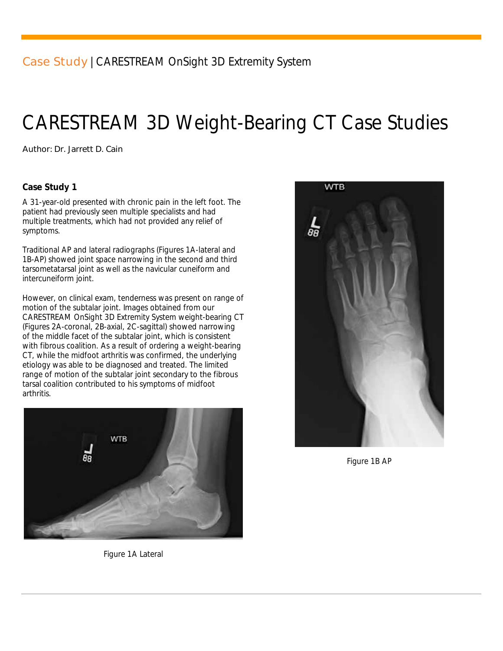# CARESTREAM 3D Weight-Bearing CT Case Studies

Author: *Dr. Jarrett D. Cain*

#### **Case Study 1**

A 31-year-old presented with chronic pain in the left foot. The patient had previously seen multiple specialists and had multiple treatments, which had not provided any relief of symptoms.

Traditional AP and lateral radiographs (Figures 1A-lateral and 1B-AP) showed joint space narrowing in the second and third tarsometatarsal joint as well as the navicular cuneiform and intercuneiform joint.

However, on clinical exam, tenderness was present on range of motion of the subtalar joint. Images obtained from our CARESTREAM OnSight 3D Extremity System weight-bearing CT (Figures 2A-coronal, 2B-axial, 2C-sagittal) showed narrowing of the middle facet of the subtalar joint, which is consistent with fibrous coalition. As a result of ordering a weight-bearing CT, while the midfoot arthritis was confirmed, the underlying etiology was able to be diagnosed and treated. The limited range of motion of the subtalar joint secondary to the fibrous tarsal coalition contributed to his symptoms of midfoot arthritis.



**WTB**  $\frac{1}{88}$ 

*Figure 1B AP*

*Figure 1A Lateral*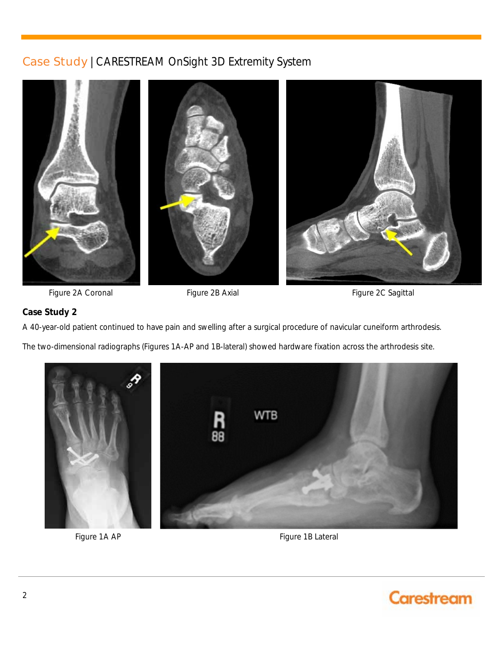

Figure 2A Coronal Figure 2B Axial Figure 20 Sagittal Figure 2C Sagittal

#### **Case Study 2**

A 40-year-old patient continued to have pain and swelling after a surgical procedure of navicular cuneiform arthrodesis.

The two-dimensional radiographs (Figures 1A-AP and 1B-lateral) showed hardware fixation across the arthrodesis site.



Figure 1A AP Figure 1B Lateral

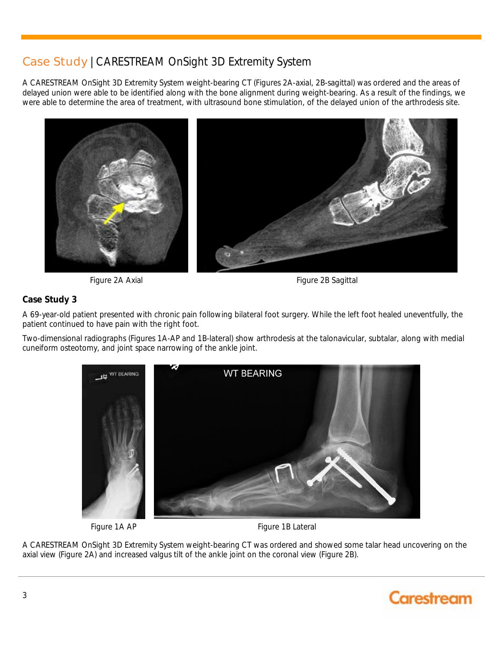A CARESTREAM OnSight 3D Extremity System weight-bearing CT (Figures 2A-axial, 2B-sagittal) was ordered and the areas of delayed union were able to be identified along with the bone alignment during weight-bearing. As a result of the findings, we were able to determine the area of treatment, with ultrasound bone stimulation, of the delayed union of the arthrodesis site.



Figure 2A Axial **Figure 2A Axial** Figure 2B Sagittal

#### **Case Study 3**

A 69-year-old patient presented with chronic pain following bilateral foot surgery. While the left foot healed uneventfully, the patient continued to have pain with the right foot.

Two-dimensional radiographs (Figures 1A-AP and 1B-lateral) show arthrodesis at the talonavicular, subtalar, along with medial cuneiform osteotomy, and joint space narrowing of the ankle joint.



Figure 1A AP Figure 1B Lateral

A CARESTREAM OnSight 3D Extremity System weight-bearing CT was ordered and showed some talar head uncovering on the axial view (Figure 2A) and increased valgus tilt of the ankle joint on the coronal view (Figure 2B).

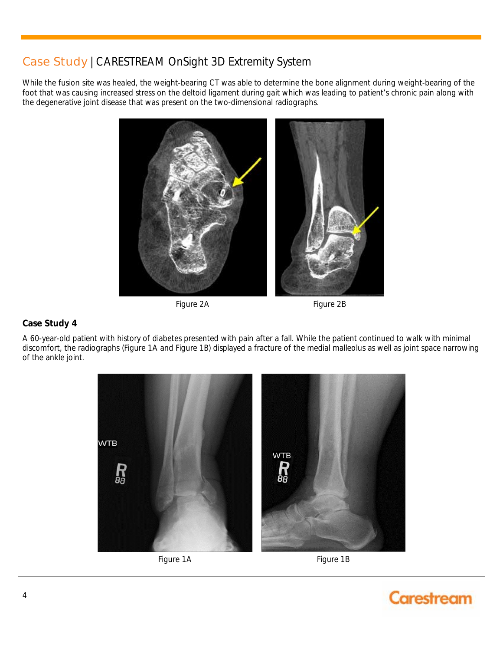While the fusion site was healed, the weight-bearing CT was able to determine the bone alignment during weight-bearing of the foot that was causing increased stress on the deltoid ligament during gait which was leading to patient's chronic pain along with the degenerative joint disease that was present on the two-dimensional radiographs.



Figure 2A Figure 2B

#### **Case Study 4**

A 60-year-old patient with history of diabetes presented with pain after a fall. While the patient continued to walk with minimal discomfort, the radiographs (Figure 1A and Figure 1B) displayed a fracture of the medial malleolus as well as joint space narrowing of the ankle joint.